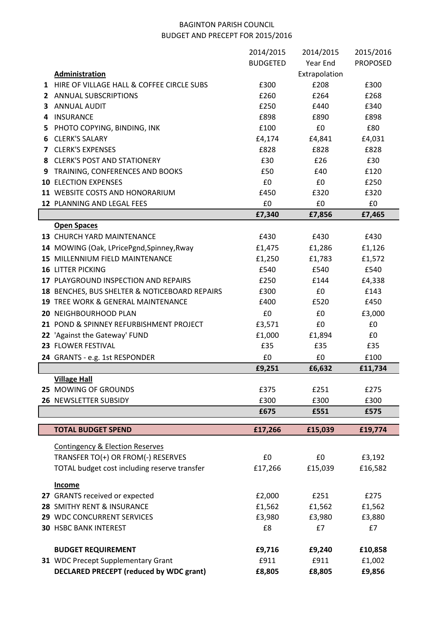# BAGINTON PARISH COUNCIL BUDGET AND PRECEPT FOR 2015/2016

|    |                                                | 2014/2015       | 2014/2015     | 2015/2016       |
|----|------------------------------------------------|-----------------|---------------|-----------------|
|    |                                                | <b>BUDGETED</b> | Year End      | <b>PROPOSED</b> |
|    | <b>Administration</b>                          |                 | Extrapolation |                 |
|    | 1 HIRE OF VILLAGE HALL & COFFEE CIRCLE SUBS    | £300            | £208          | £300            |
|    | 2 ANNUAL SUBSCRIPTIONS                         | £260            | £264          | £268            |
|    | 3 ANNUAL AUDIT                                 | £250            | £440          | £340            |
| 4  | <b>INSURANCE</b>                               | £898            | £890          | £898            |
| 5. | PHOTO COPYING, BINDING, INK                    | £100            | £0            | £80             |
| 6  | <b>CLERK'S SALARY</b>                          | £4,174          | £4,841        | £4,031          |
|    | <b>7 CLERK'S EXPENSES</b>                      | £828            | £828          | £828            |
|    | 8 CLERK'S POST AND STATIONERY                  | £30             | £26           | £30             |
| 9  | TRAINING, CONFERENCES AND BOOKS                | £50             | £40           | £120            |
|    | <b>10 ELECTION EXPENSES</b>                    | £0              | £0            | £250            |
|    | 11 WEBSITE COSTS AND HONORARIUM                | £450            | £320          | £320            |
|    | 12 PLANNING AND LEGAL FEES                     | £0              | £0            | £0              |
|    |                                                | £7,340          | £7,856        | £7,465          |
|    | <b>Open Spaces</b>                             |                 |               |                 |
|    | 13 CHURCH YARD MAINTENANCE                     | £430            | £430          | £430            |
|    | 14 MOWING (Oak, LPricePgnd, Spinney, Rway      | £1,475          | £1,286        | £1,126          |
|    | 15 MILLENNIUM FIELD MAINTENANCE                | £1,250          | £1,783        | £1,572          |
|    | <b>16 LITTER PICKING</b>                       | £540            | £540          | £540            |
|    | 17 PLAYGROUND INSPECTION AND REPAIRS           | £250            | £144          | £4,338          |
|    | 18 BENCHES, BUS SHELTER & NOTICEBOARD REPAIRS  | £300            | £0            | £143            |
|    | 19 TREE WORK & GENERAL MAINTENANCE             | £400            | £520          | £450            |
|    | 20 NEIGHBOURHOOD PLAN                          | £0              | £0            | £3,000          |
|    | 21 POND & SPINNEY REFURBISHMENT PROJECT        | £3,571          | £0            | £0              |
|    | 22 'Against the Gateway' FUND                  | £1,000          | £1,894        | £0              |
|    | 23 FLOWER FESTIVAL                             | £35             | £35           | £35             |
|    |                                                | £0              | £0            | £100            |
|    | 24 GRANTS - e.g. 1st RESPONDER                 | £9,251          | £6,632        | £11,734         |
|    | <b>Village Hall</b>                            |                 |               |                 |
|    | 25 MOWING OF GROUNDS                           | £375            | £251          | £275            |
|    | 26 NEWSLETTER SUBSIDY                          | £300            | £300          | £300            |
|    |                                                | £675            | £551          | £575            |
|    |                                                |                 |               |                 |
|    | <b>TOTAL BUDGET SPEND</b>                      | £17,266         | £15,039       | £19,774         |
|    | <b>Contingency &amp; Election Reserves</b>     |                 |               |                 |
|    | TRANSFER TO(+) OR FROM(-) RESERVES             | £0              | £0            | £3,192          |
|    | TOTAL budget cost including reserve transfer   | £17,266         | £15,039       | £16,582         |
|    |                                                |                 |               |                 |
|    | <b>Income</b>                                  |                 |               |                 |
|    | 27 GRANTS received or expected                 | £2,000          | £251          | £275            |
|    | 28 SMITHY RENT & INSURANCE                     | £1,562          | £1,562        | £1,562          |
|    | 29 WDC CONCURRENT SERVICES                     | £3,980          | £3,980        | £3,880          |
|    | <b>30 HSBC BANK INTEREST</b>                   | £8              | £7            | £7              |
|    |                                                |                 |               |                 |
|    | <b>BUDGET REQUIREMENT</b>                      | £9,716          | £9,240        | £10,858         |
|    | 31 WDC Precept Supplementary Grant             | £911            | £911          | £1,002          |
|    | <b>DECLARED PRECEPT (reduced by WDC grant)</b> | £8,805          | £8,805        | £9,856          |